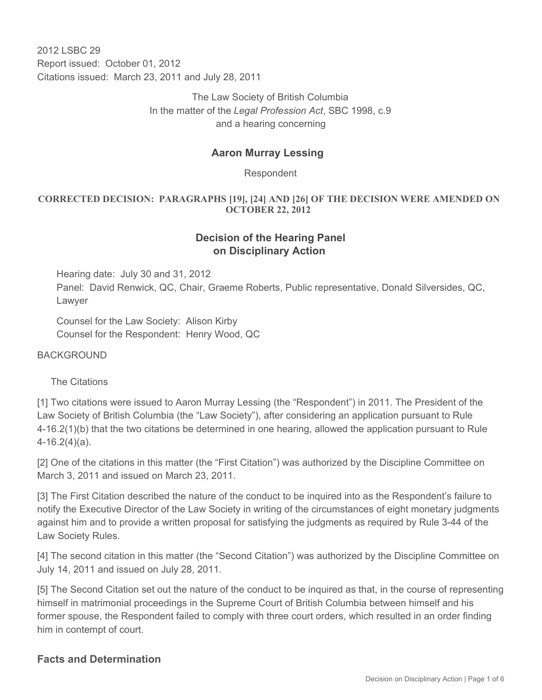2012 LSBC 29 Report issued: October 01, 2012 Citations issued: March 23, 2011 and July 28, 2011

> The Law Society of British Columbia In the matter of the *Legal Profession Act*, SBC 1998, c.9 and a hearing concerning

#### **Aaron Murray Lessing**

Respondent

#### **CORRECTED DECISION: PARAGRAPHS [19], [24] AND [26] OF THE DECISION WERE AMENDED ON OCTOBER 22, 2012**

### **Decision of the Hearing Panel on Disciplinary Action**

Hearing date: July 30 and 31, 2012 Panel: David Renwick, QC, Chair, Graeme Roberts, Public representative, Donald Silversides, QC, Lawyer

Counsel for the Law Society: Alison Kirby Counsel for the Respondent: Henry Wood, QC

**BACKGROUND** 

The Citations

[1] Two citations were issued to Aaron Murray Lessing (the "Respondent") in 2011. The President of the Law Society of British Columbia (the "Law Society"), after considering an application pursuant to Rule 4-16.2(1)(b) that the two citations be determined in one hearing, allowed the application pursuant to Rule 4-16.2(4)(a).

[2] One of the citations in this matter (the "First Citation") was authorized by the Discipline Committee on March 3, 2011 and issued on March 23, 2011.

[3] The First Citation described the nature of the conduct to be inquired into as the Respondent's failure to notify the Executive Director of the Law Society in writing of the circumstances of eight monetary judgments against him and to provide a written proposal for satisfying the judgments as required by Rule 3-44 of the Law Society Rules.

[4] The second citation in this matter (the "Second Citation") was authorized by the Discipline Committee on July 14, 2011 and issued on July 28, 2011.

[5] The Second Citation set out the nature of the conduct to be inquired as that, in the course of representing himself in matrimonial proceedings in the Supreme Court of British Columbia between himself and his former spouse, the Respondent failed to comply with three court orders, which resulted in an order finding him in contempt of court.

#### **Facts and Determination**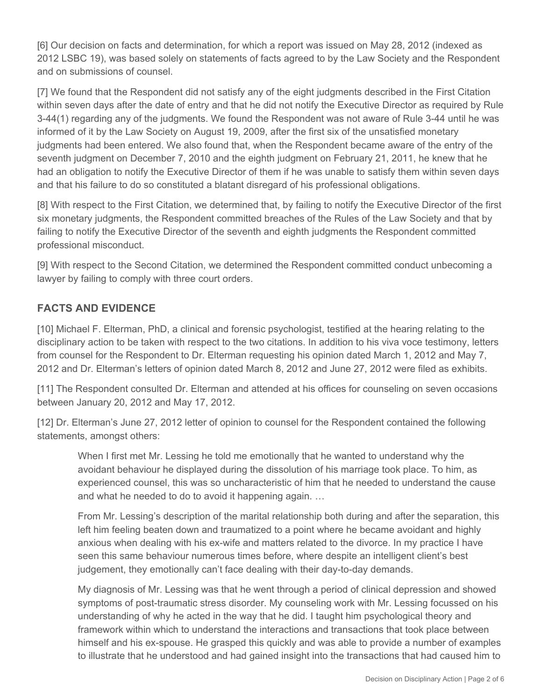[6] Our decision on facts and determination, for which a report was issued on May 28, 2012 (indexed as 2012 LSBC 19), was based solely on statements of facts agreed to by the Law Society and the Respondent and on submissions of counsel.

[7] We found that the Respondent did not satisfy any of the eight judgments described in the First Citation within seven days after the date of entry and that he did not notify the Executive Director as required by Rule 3-44(1) regarding any of the judgments. We found the Respondent was not aware of Rule 3-44 until he was informed of it by the Law Society on August 19, 2009, after the first six of the unsatisfied monetary judgments had been entered. We also found that, when the Respondent became aware of the entry of the seventh judgment on December 7, 2010 and the eighth judgment on February 21, 2011, he knew that he had an obligation to notify the Executive Director of them if he was unable to satisfy them within seven days and that his failure to do so constituted a blatant disregard of his professional obligations.

[8] With respect to the First Citation, we determined that, by failing to notify the Executive Director of the first six monetary judgments, the Respondent committed breaches of the Rules of the Law Society and that by failing to notify the Executive Director of the seventh and eighth judgments the Respondent committed professional misconduct.

[9] With respect to the Second Citation, we determined the Respondent committed conduct unbecoming a lawyer by failing to comply with three court orders.

# **FACTS AND EVIDENCE**

[10] Michael F. Elterman, PhD, a clinical and forensic psychologist, testified at the hearing relating to the disciplinary action to be taken with respect to the two citations. In addition to his viva voce testimony, letters from counsel for the Respondent to Dr. Elterman requesting his opinion dated March 1, 2012 and May 7, 2012 and Dr. Elterman's letters of opinion dated March 8, 2012 and June 27, 2012 were filed as exhibits.

[11] The Respondent consulted Dr. Elterman and attended at his offices for counseling on seven occasions between January 20, 2012 and May 17, 2012.

[12] Dr. Elterman's June 27, 2012 letter of opinion to counsel for the Respondent contained the following statements, amongst others:

When I first met Mr. Lessing he told me emotionally that he wanted to understand why the avoidant behaviour he displayed during the dissolution of his marriage took place. To him, as experienced counsel, this was so uncharacteristic of him that he needed to understand the cause and what he needed to do to avoid it happening again. …

From Mr. Lessing's description of the marital relationship both during and after the separation, this left him feeling beaten down and traumatized to a point where he became avoidant and highly anxious when dealing with his ex-wife and matters related to the divorce. In my practice I have seen this same behaviour numerous times before, where despite an intelligent client's best judgement, they emotionally can't face dealing with their day-to-day demands.

My diagnosis of Mr. Lessing was that he went through a period of clinical depression and showed symptoms of post-traumatic stress disorder. My counseling work with Mr. Lessing focussed on his understanding of why he acted in the way that he did. I taught him psychological theory and framework within which to understand the interactions and transactions that took place between himself and his ex-spouse. He grasped this quickly and was able to provide a number of examples to illustrate that he understood and had gained insight into the transactions that had caused him to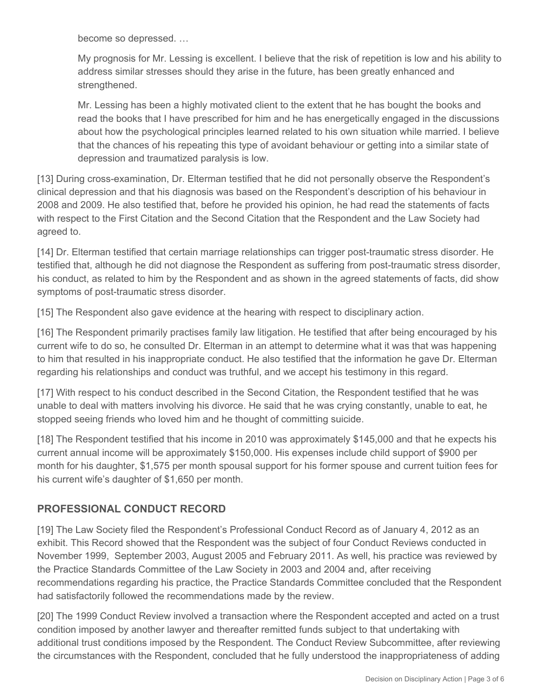become so depressed. …

My prognosis for Mr. Lessing is excellent. I believe that the risk of repetition is low and his ability to address similar stresses should they arise in the future, has been greatly enhanced and strengthened.

Mr. Lessing has been a highly motivated client to the extent that he has bought the books and read the books that I have prescribed for him and he has energetically engaged in the discussions about how the psychological principles learned related to his own situation while married. I believe that the chances of his repeating this type of avoidant behaviour or getting into a similar state of depression and traumatized paralysis is low.

[13] During cross-examination, Dr. Elterman testified that he did not personally observe the Respondent's clinical depression and that his diagnosis was based on the Respondent's description of his behaviour in 2008 and 2009. He also testified that, before he provided his opinion, he had read the statements of facts with respect to the First Citation and the Second Citation that the Respondent and the Law Society had agreed to.

[14] Dr. Elterman testified that certain marriage relationships can trigger post-traumatic stress disorder. He testified that, although he did not diagnose the Respondent as suffering from post-traumatic stress disorder, his conduct, as related to him by the Respondent and as shown in the agreed statements of facts, did show symptoms of post-traumatic stress disorder.

[15] The Respondent also gave evidence at the hearing with respect to disciplinary action.

[16] The Respondent primarily practises family law litigation. He testified that after being encouraged by his current wife to do so, he consulted Dr. Elterman in an attempt to determine what it was that was happening to him that resulted in his inappropriate conduct. He also testified that the information he gave Dr. Elterman regarding his relationships and conduct was truthful, and we accept his testimony in this regard.

[17] With respect to his conduct described in the Second Citation, the Respondent testified that he was unable to deal with matters involving his divorce. He said that he was crying constantly, unable to eat, he stopped seeing friends who loved him and he thought of committing suicide.

[18] The Respondent testified that his income in 2010 was approximately \$145,000 and that he expects his current annual income will be approximately \$150,000. His expenses include child support of \$900 per month for his daughter, \$1,575 per month spousal support for his former spouse and current tuition fees for his current wife's daughter of \$1,650 per month.

### **PROFESSIONAL CONDUCT RECORD**

[19] The Law Society filed the Respondent's Professional Conduct Record as of January 4, 2012 as an exhibit. This Record showed that the Respondent was the subject of four Conduct Reviews conducted in November 1999, September 2003, August 2005 and February 2011. As well, his practice was reviewed by the Practice Standards Committee of the Law Society in 2003 and 2004 and, after receiving recommendations regarding his practice, the Practice Standards Committee concluded that the Respondent had satisfactorily followed the recommendations made by the review.

[20] The 1999 Conduct Review involved a transaction where the Respondent accepted and acted on a trust condition imposed by another lawyer and thereafter remitted funds subject to that undertaking with additional trust conditions imposed by the Respondent. The Conduct Review Subcommittee, after reviewing the circumstances with the Respondent, concluded that he fully understood the inappropriateness of adding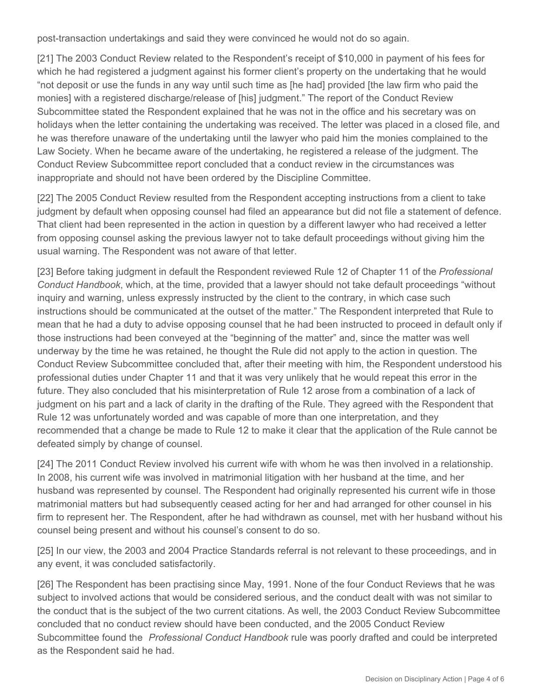post-transaction undertakings and said they were convinced he would not do so again.

[21] The 2003 Conduct Review related to the Respondent's receipt of \$10,000 in payment of his fees for which he had registered a judgment against his former client's property on the undertaking that he would "not deposit or use the funds in any way until such time as [he had] provided [the law firm who paid the monies] with a registered discharge/release of [his] judgment." The report of the Conduct Review Subcommittee stated the Respondent explained that he was not in the office and his secretary was on holidays when the letter containing the undertaking was received. The letter was placed in a closed file, and he was therefore unaware of the undertaking until the lawyer who paid him the monies complained to the Law Society. When he became aware of the undertaking, he registered a release of the judgment. The Conduct Review Subcommittee report concluded that a conduct review in the circumstances was inappropriate and should not have been ordered by the Discipline Committee.

[22] The 2005 Conduct Review resulted from the Respondent accepting instructions from a client to take judgment by default when opposing counsel had filed an appearance but did not file a statement of defence. That client had been represented in the action in question by a different lawyer who had received a letter from opposing counsel asking the previous lawyer not to take default proceedings without giving him the usual warning. The Respondent was not aware of that letter.

[23] Before taking judgment in default the Respondent reviewed Rule 12 of Chapter 11 of the *Professional Conduct Handbook*, which, at the time, provided that a lawyer should not take default proceedings "without inquiry and warning, unless expressly instructed by the client to the contrary, in which case such instructions should be communicated at the outset of the matter." The Respondent interpreted that Rule to mean that he had a duty to advise opposing counsel that he had been instructed to proceed in default only if those instructions had been conveyed at the "beginning of the matter" and, since the matter was well underway by the time he was retained, he thought the Rule did not apply to the action in question. The Conduct Review Subcommittee concluded that, after their meeting with him, the Respondent understood his professional duties under Chapter 11 and that it was very unlikely that he would repeat this error in the future. They also concluded that his misinterpretation of Rule 12 arose from a combination of a lack of judgment on his part and a lack of clarity in the drafting of the Rule. They agreed with the Respondent that Rule 12 was unfortunately worded and was capable of more than one interpretation, and they recommended that a change be made to Rule 12 to make it clear that the application of the Rule cannot be defeated simply by change of counsel.

[24] The 2011 Conduct Review involved his current wife with whom he was then involved in a relationship. In 2008, his current wife was involved in matrimonial litigation with her husband at the time, and her husband was represented by counsel. The Respondent had originally represented his current wife in those matrimonial matters but had subsequently ceased acting for her and had arranged for other counsel in his firm to represent her. The Respondent, after he had withdrawn as counsel, met with her husband without his counsel being present and without his counsel's consent to do so.

[25] In our view, the 2003 and 2004 Practice Standards referral is not relevant to these proceedings, and in any event, it was concluded satisfactorily.

[26] The Respondent has been practising since May, 1991. None of the four Conduct Reviews that he was subject to involved actions that would be considered serious, and the conduct dealt with was not similar to the conduct that is the subject of the two current citations. As well, the 2003 Conduct Review Subcommittee concluded that no conduct review should have been conducted, and the 2005 Conduct Review Subcommittee found the *Professional Conduct Handbook* rule was poorly drafted and could be interpreted as the Respondent said he had.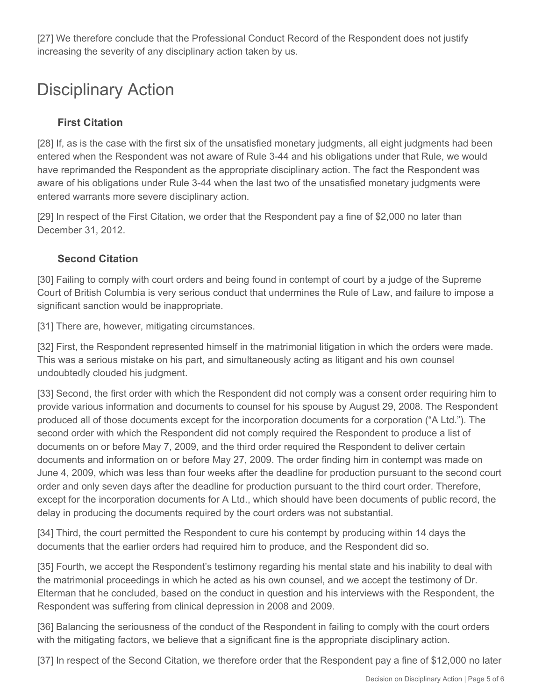[27] We therefore conclude that the Professional Conduct Record of the Respondent does not justify increasing the severity of any disciplinary action taken by us.

# Disciplinary Action

# **First Citation**

[28] If, as is the case with the first six of the unsatisfied monetary judgments, all eight judgments had been entered when the Respondent was not aware of Rule 3-44 and his obligations under that Rule, we would have reprimanded the Respondent as the appropriate disciplinary action. The fact the Respondent was aware of his obligations under Rule 3-44 when the last two of the unsatisfied monetary judgments were entered warrants more severe disciplinary action.

[29] In respect of the First Citation, we order that the Respondent pay a fine of \$2,000 no later than December 31, 2012.

## **Second Citation**

[30] Failing to comply with court orders and being found in contempt of court by a judge of the Supreme Court of British Columbia is very serious conduct that undermines the Rule of Law, and failure to impose a significant sanction would be inappropriate.

[31] There are, however, mitigating circumstances.

[32] First, the Respondent represented himself in the matrimonial litigation in which the orders were made. This was a serious mistake on his part, and simultaneously acting as litigant and his own counsel undoubtedly clouded his judgment.

[33] Second, the first order with which the Respondent did not comply was a consent order requiring him to provide various information and documents to counsel for his spouse by August 29, 2008. The Respondent produced all of those documents except for the incorporation documents for a corporation ("A Ltd."). The second order with which the Respondent did not comply required the Respondent to produce a list of documents on or before May 7, 2009, and the third order required the Respondent to deliver certain documents and information on or before May 27, 2009. The order finding him in contempt was made on June 4, 2009, which was less than four weeks after the deadline for production pursuant to the second court order and only seven days after the deadline for production pursuant to the third court order. Therefore, except for the incorporation documents for A Ltd., which should have been documents of public record, the delay in producing the documents required by the court orders was not substantial.

[34] Third, the court permitted the Respondent to cure his contempt by producing within 14 days the documents that the earlier orders had required him to produce, and the Respondent did so.

[35] Fourth, we accept the Respondent's testimony regarding his mental state and his inability to deal with the matrimonial proceedings in which he acted as his own counsel, and we accept the testimony of Dr. Elterman that he concluded, based on the conduct in question and his interviews with the Respondent, the Respondent was suffering from clinical depression in 2008 and 2009.

[36] Balancing the seriousness of the conduct of the Respondent in failing to comply with the court orders with the mitigating factors, we believe that a significant fine is the appropriate disciplinary action.

[37] In respect of the Second Citation, we therefore order that the Respondent pay a fine of \$12,000 no later